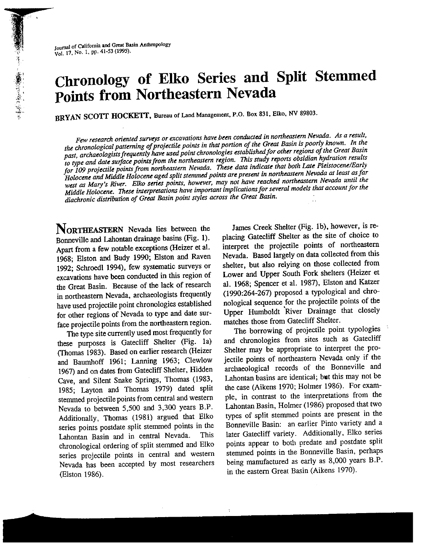# Chronology of Elko Series and Split Stemmed Points from Northeastern Nevada

BRYAN SCOTT HOCKETT, Bureau of Land Management, P.O. Box 831, Elko, NV 89803.

Few research oriented surveys or excavations have been conducted in northeastern Nevada. As <sup>a</sup> result, the chronological patterning of projectile points in that portion of the Great Basin is poorly known. In the past, archaeologists frequently have used point chronologies established for other regions of the Great Basin to type and date surface points from the northeastern region. This study reports obsidian hydration results for <sup>109</sup> projectile points from northeastern Nevada. These data indicate that both Late Pleistocene/Early Holocene and Middle Holocene age<sup>d</sup> split stemmed points are presen<sup>t</sup> in northeastern Nevada at least asfar west as Mary's River. Elko series points, however, may not have reached northeastern Nevada until the Middle Holocene. These interpretations have important implications for several models that account for the diachronic distribution of Great Basin point styles across the Great Basin.

NORTHEASTERN Nevada lies between the Bonneville and Lahontan drainage basins (Fig. 1). Apart from a few notable exceptions (Heizer et al. 1968; Elston and Budy 1990; Elston and Raven 1992; Schroedl 1994), few systematic surveys or excavations have been conducted in this region of the Great Basin. Because of the lack of research in northeastern Nevada, archaeologists frequently have used projectile point chronologies established for other regions of Nevada to type and date sur face projectile points from the northeastern region.

The type site currently used most frequently for these purposes is Gatecliff Shelter (Fig. Ia) (Thomas 1983). Based on earlier research (Heizer and Baumhoff 1961; Lanning 1963; Clewlow 1967) and on dates from Gatecliff Shelter, Hidden Cave, and Silent Snake Springs, Thomas (1983, 1985; Layton and Thomas 1979) dated split stemmed projectile points from central and western Nevada to between 5,500 and 3,300 years B.P. Additionally, Thomas (1981) argue<sup>d</sup> that Elko series points postdate split stemmed points in the Lahontan Basin and in central Nevada. This chronological ordering of split stemmed and Elko series projectile points in central and western Nevada has been accepted by most researchers (Elston 1986).

James Creek Shelter (Fig. ib), however, is re <sup>p</sup>lacing Gatecliff Shelter as the site of choice to interpret the projectile points of northeastern Nevada. Based largely on data collected from this shelter, but also relying on those collected from Lower and Upper South Fork shelters (Heizer et al. 1968; Spencer et al. 1987), Blston and Katzer (1990:264-267) propose<sup>d</sup> <sup>a</sup> typological and chro nological sequence for the projectile points of the Upper Humboldt River Drainage that closely matches those from Gatecliff Shelter.

The borrowing of projectile point typologies and chronologies from sites such as Gatecliff Shelter may be appropriate to interpret the pro jectile points of northeastern Nevada only if the archaeological records of the Bonneville and Lahontan basins are identical; but this may not be the case (Aikens 1970; Holmer 1986). For exam <sup>p</sup>le, in contrast to the interpretations from the Lahontan Basin, Holmer (1986) propose<sup>d</sup> that two types of split stemmed points are presen<sup>t</sup> in the Bonneville Basin: an earlier Pinto variety and <sup>a</sup> later Gatecliff variety. Additionally, Elko series points appear to both predate and postdate split stemmed points in the Bonneville Basin, perhaps being manufactured as early as 8,000 years B.P. in the eastern Great Basin (Aikens 1970).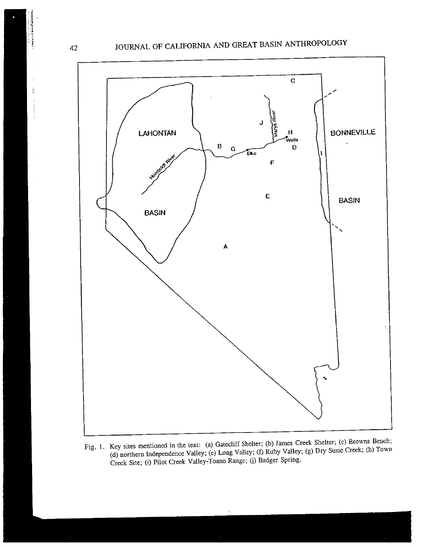## <sup>42</sup> JOURNAL OF CALIFORNIA AND GREAT BASIN ANTHROPOLOGY



Fig. 1. Key sites mentioned in the text: (a) Gateeliff Shelter; (b) James Creek Shelter; (e) Browns Bench; (d) northern Independence Valley; (e) Long Valley; (f) Ruby Valley; (g) Dry Susie Creek; (h) Town Creek Site; (i) Pilot Creek Valley-Toano Range; (j) Badger Spring.

the contribution of the control of

 $\mathfrak{f}$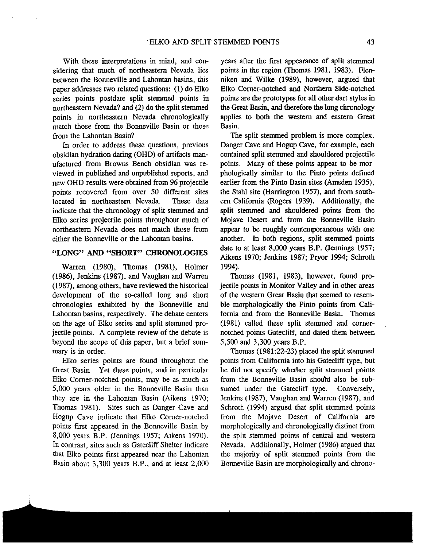With these interpretations in mind, and con sidering that much of northeastern Nevada lies between the Bonneville and Lahontan basins, this paper addresses two related questions: (1) do Elko series points postdate split stemmed points in northeastern Nevada? and (2) do the split stemmed points in northeastern Nevada chronologically match those from the Bonneville Basin or those from the Lahontan Basin?

In order to address these questions, previous obsidian hydration dating (OHD) of artifacts man ufactured from Browns Bench obsidian was re viewed in published and unpublished reports, and new OHD results were obtained from 96 projectile points recovered from over 50 different sites located in northeastern Nevada. These data indicate that the chronology of split stemmed and Elko series projectile points throughout much of northeastern Nevada does not match those from either the Bonneville or the Lahontan basins.

#### "LONG" AND "SHORT" CHRONOLOGIES

Warren (1980), Thomas (1981), Holmer (1986), Jenkins (1987), and Vaughan and Warren (1987), among others, have reviewed the historical development of the so-called long and short chronologies exhibited by the Bonneville and Lahontan basins, respectively. The debate centers on the age of Elko series and split stemmed pro jectile points. A complete review of the debate is beyond the scope of this paper, but a brief sum mary is in order.

Elko series points are found throughout the Great Basin. Yet these points, and in particular Elko Corner-notched points, may be as much as 5,000 years older in the Bonneville Basin than they are in the Lahontan Basin (Aikens 1970; Thomas 1981). Sites such as Danger Cave and Hogup Cave indicate that Elko Corner-notched points first appeared in the Bonneville Basin by 8,000 years B.P. (Jennings 1957; Aikens 1970). In contrast, sites such as Gatecliff Shelter indicate that Elko points first appeared near the Lahontan Basin about 3,300 years B.P., and at least 2,000

I

years after the first appearance of split stemmed points in the region (Thomas 1981, 1983). Flen niken and Wilke (1989), however, argued that Elko Corner-notched and Northern Side-notched points are the prototypes for all other dart styles in the Great Basin, and therefore the long chronology applies to both the western and eastern Great Basin.

The split stemmed problem is more complex. Danger Cave and Hogup Cave, for example, each contained split stemmed and shouldered projectile points. Many of these points appear to be mor phologically similar to the Pinto points defined earlier from the Pinto Basin sites (Amsden 1935), the Stahl site (Harrington 1957), and from south ern California (Rogers 1939). Additionally, the split stemmed and shouldered points from the Mojave Desert and from the Bonneville Basin appear to be roughly contemporaneous with one another. In both regions, split stemmed points date to at least 8,000 years B.P. (Jennings 1957; Aikens 1970; Jenkins 1987; Pryor 1994; Schroth 1994).

Thomas (1981, 1983), however, found pro jectile points in Monitor Valley and in other areas of the western Great Basin that seemed to resem ble morphologically the Pinto points from Cali fornia and from the Bonneville Basin. Thomas (1981) called these split stemmed and cornernotched points Gatecliff, and dated them between 5,500 and 3,300 years B.P.

Thomas (1981:22-23) placed the split stemmed points from California into his Gatecliff type, but he did not specify whether split stemmed points from the Bonneville Basin should also be subsumed under the Gatecliff type. Conversely, Jenkins (1987), Vaughan and Warren (1987), and Schroth (1994) argued that split stemmed points from the Mojave Desert of California are morphologically and chronologically distinct from the split stemmed points of central and western Nevada. Additionally, Holmer (1986) argued that the majority of split stemmed points from the Bonneville Basin are morphologically and chrono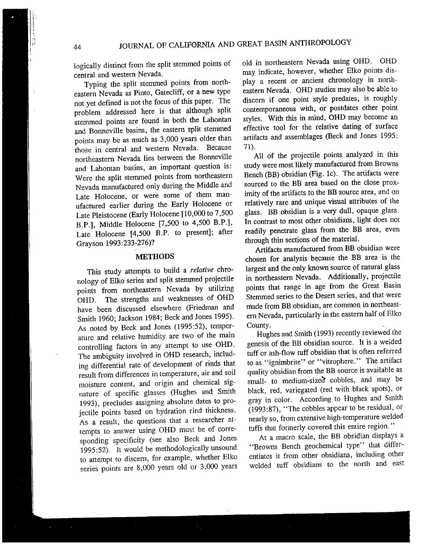<sup>44</sup> JOURNAL OF CALIFORNIA AND GREAT BASIN ANTHROPOLOGY

logically distinct from the split stemmed points of central and western Nevada.

Typing the split stemmed points from north eastern Nevada as Pinto, Gatecliff, or <sup>a</sup> new type not ye<sup>t</sup> defined is not the focus of this paper. The problem addressed here is that although split stemmed points are found in both the Lahontan and Bonneville basins, the eastern split stemmed points may be as much as 3,000 years older than<br>those in central and western Nevada. Because those in central and western Nevada. northeastern Nevada lies between the Bonneville and Lahontan basins, an important question is: Were the split stemmed points from northeastern Nevada manufactured only during the Middle and Late Holocene, or were some of them man ufactured earlier during the Early Holocene or Late Pleistocene (Early Holocene [10,000 to 7,500 B.P.], Middle Holocene [7,500 to 4,500 B.P.J, Late Holocene [4,500 B.P. to present]; after Grayson 1993:233-276)?

#### METHODS

This study attempts to build a relative chronology of Elko series and split stemmed projectile points from northeastern Nevada by utilizing OHD. The strengths and weaknesses of OHD have been discussed elsewhere (Friedman and Smith 1960; Jackson 1984; Beck and Jones 1995). As noted by Beck and Jones (1995:52), temper ature and relative humidity are two of the main controlling factors in any attempt to use OHD. The ambiguity involved in OHD research, including differential rate of development of rinds that result from differences in temperature, air and soil moisture content, and origin and chemical sig nature of specific <sup>g</sup>lasses (Hughes and Smith 1993), precludes assigning absolute dates to pro jectile points based on hydration rind thickness. As <sup>a</sup> result, the questions that <sup>a</sup> researcher at tempts to answer using OHD must be of corre sponding specificity (see also Beck and Jones 1995:52). It would be methodologically unsound to attempt to discern, for example, whether Elko series points are 8,000 years old or 3,000 years

old in northeastern Nevada using OHD. OHD may indicate, however, whether Elko points dis <sup>p</sup>lay <sup>a</sup> recent or ancient chronology in north eastern Nevada. OHD studies may also be able to discern if one point style predates, is roughly contemporaneous with, or postdates other point styles. With this in mind, OHD may become an effective tool for the relative dating of surface artifacts and assemblages (Beck and Jones 1995: 71).

All of the projectile points analyzed in this study were most likely manufactured from Browns Bench (BB) obsidian (Fig. ic). The artifacts were sourced to the BB area based on the close proximity of the artifacts to the RB source area, and on relatively rare and unique visual attributes of the <sup>g</sup>lass. BB obsidian is <sup>a</sup> very dull, opaque <sup>g</sup>lass. In contrast to most other obsidians, light does not readily penetrate <sup>g</sup>lass from the BB area, even through thin sections of the material.

Artifacts manufactured from BB obsidian were chosen for analysis because the BB area is the largest and the only known source of natural <sup>g</sup>lass in northeastern Nevada. Additionally, projectile points that range in age from the Great Basin Stemmed series to the Desert series, and that were made from BR obsidian, are common in northeast ern Nevada, particularly in the eastern half of Elko County.

Hughes and Smith (1993) recently reviewed the genesis of the BB obsidian source, It is <sup>a</sup> welded tuff or ash-flow tuff obsidian that is often referred to as "ignimbrite" or "vitrophere.'' The artifact quality obsidian from the BB source is available as small- to medium-sized cobbles, and may be black, red, variegated (red with black spots), or gray in color. According to Hughes and Smith (1993:87), "The cobbles appear to be residual, or nearly so, from extensive high-temperature welded tuffs that formerly covered this entire region.''

At <sup>a</sup> macro scale, the BB obsidian displays <sup>a</sup> "Browns Bench geochemical type" that differ entiates it from other obsidians, including other welded tuff obsidians to the north and east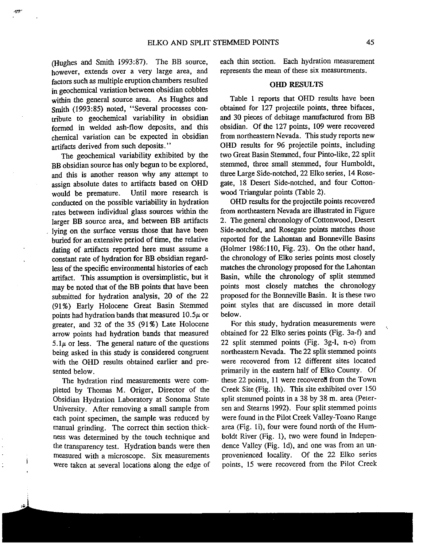(Hughes and Smith 1993:87). The RB source, however, extends over <sup>a</sup> very large area, and factors such as multiple eruption chambers resulted in geochemical variation between obsidian cobbles within the genera<sup>l</sup> source area. As Hughes and smith (1993:85) noted, "Several processes con tribute to geochemical variability in obsidian formed in welded ash-flow deposits, and this chemical variation can be expected in obsidian artifacts derived from such deposits."

.t.

j

The geochemical variability exhibited by the BB obsidian source has only begun to be explored, and this is another reason why any attempt to assign absolute dates to artifacts based on OHD would be premature. Until more research is conducted on the possible variability in hydration rates between individual glass sources within the larger BB source area, and between BB artifacts lying on the surface versus those that have been buried for an extensive period of time, the relative dating of artifacts reported here must assume a constant rate of hydration for BR obsidian regar<sup>d</sup> less of the specific environmental histories of each artifact. This assumption is oversimplistic, but it may be noted that of the BE points that have been submitted for hydration analysis, <sup>20</sup> of the <sup>22</sup> (91%) Early Holocene Great Basin Stemmed points had hydration bands that measured  $10.5\mu$  or greater, and 32 of the 35 (91%) Late Holocene arrow points had hydration bands that measured  $5.1\mu$  or less. The general nature of the questions being asked in this study is considered congruen<sup>t</sup> with the OHD results obtained earlier and pre sented below.

The hydration rind measurements were com <sup>p</sup>leted by Thomas M. Origer, Director of the Obsidian Hydration Laboratory at Sonoma State University. After removing <sup>a</sup> small sample from each point specimen, the sample was reduced by manual grinding. The correct thin section thick ness was determined by the touch technique and the transparency test. Hydration bands were then measured with <sup>a</sup> microscope. Six measurements were taken at several locations along the edge of each thin section. Each hydration measurement represents the mean of these six measurements.

#### **OHD RESULTS**

Table <sup>I</sup> reports that OHD results have been obtained for 127 projectile points, three bifaces, and 30 <sup>p</sup>ieces of debitage manufactured from RB obsidian. Of the <sup>127</sup> points, 109 were recovered from northeastern Nevada. This study reports new OND results for 96 projectile points, including two Great Basin Stemmed, four Pinto-like, 22 split stemmed, three small stemmed, four Humboldt, three Large Side-notched, 22 Elko series, 14 Rosegate, <sup>18</sup> Desert Side-notched, and four Cotton wood Triangular points (Table 2).

OHD results for the projectile points recovered from northeastern Nevada are illustrated in Figure 2. The general chronology of Cottonwood, Desert Side-notched, and Rosegate points matches those reported for the Lahontan and Bonneville Basins (Holmer 1986:110, Fig. 23). On the other hand, the chronology of Elko series points most closely matches the chronology proposed for the Lahontan Basin, while the chronology of split stemmed points most closely matches the chronology propose<sup>d</sup> for the Bonneville Basin. It is these two point styles that are discussed in more detail below.

For this study, hydration measurements were obtained for 22 Elko series points (Fig. 3a-f) and <sup>22</sup> split stemmed points (Fig. 3g-l, n-o) from northeastern Nevada. The 22 split stemmed points were recovered from 12 different sites located primarily in the eastern half of Elko County. Of these <sup>22</sup> points, <sup>11</sup> were recovered from the Town Creek Site (Fig. lh). This site exhibited over 150 split stemmed points in <sup>a</sup> <sup>38</sup> by <sup>38</sup> m. area (Peter sen and Steams 1992). Four split stemmed points were found in the Pilot Creek Valley-Toano Range area (Fig. Ii), four were found north of the Hum boldt River (Fig. 1), two were found in Indepen dence Valley (Fig. Id), and one was from an un provenienced locality. Of the <sup>22</sup> Elko series points, <sup>15</sup> were recovered from the Pilot Creek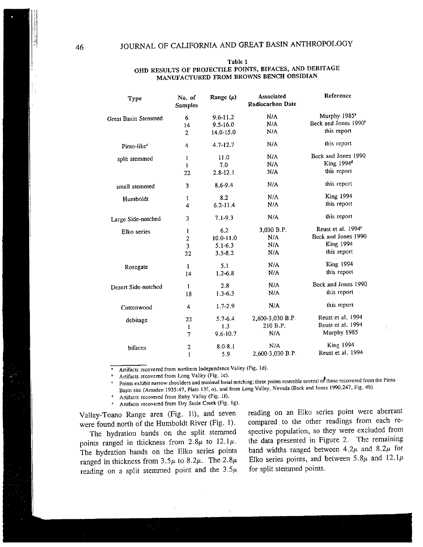Reference Associated No. of Range  $(\mu)$ Type Radiocarbon Date Samples Murphy 1985<sup>\*</sup> 6 9.6-11.2 N/A Great Basin Stemmed Beck and Jones 1990<sup>b</sup> 14 9.5-16.0 N/A this repor<sup>t</sup> N/A 2 14.0-15.0 Pinto-like<sup>c</sup> 4 4.7-12.7 N/A this report split stemmed 1 and 11.0 and 30 and 30 and 3990<br>  $\frac{1}{1}$  and  $\frac{1}{7.0}$  and  $\frac{1}{7.0}$  and  $\frac{1}{7.0}$  and  $\frac{1}{7.0}$  and  $\frac{1}{7.0}$  and  $\frac{1}{7.0}$  and  $\frac{1}{7.0}$  and  $\frac{1}{7.0}$  and  $\frac{1}{7.0}$  and  $\frac{1}{7.0}$  and  $11.0$ King  $1994<sup>d</sup>$  $N/A$  $\mathbf{1}$ 22 2.8-22.1 N/A this repor<sup>t</sup> N/A this repor<sup>t</sup> 3 8.6-9.4 small stemmed King 1994 1 8.2 N/A Humboldt this repor<sup>t</sup> 6.2-11.4 N/A 4Large Side-notched 3 7.1-9.3 N/A this report Reust et al. 1994<sup>e</sup> 3,030 B.P. 1 6.2 Elko series Beck and Jones 1990 N/A 2 10.0-11.0 King 1994 N/A 3 5.1-6.3 this repor<sup>t</sup> N/A 22 3.5-8.2 King 1994 N/A 1 5.l Rosegate N/A this repor<sup>t</sup> 14 1.2-6.8 Beck and Jones 1990 Desert Side-notched <sup>1</sup> 2.8 N/A this repor<sup>t</sup> 18 1.3-6.3 N/A this repor<sup>t</sup> Cottonwood <sup>4</sup> 1.7-2.9 N/A 2,600-3030 H.P. Reust et al. 1994 22 5.7-6.4 debitage 210 H.P. Reust et al. 1994 1 1.3 Murphy 1985 7 9.6-10.7 N/A King 1994 28.0-8.1 N/A bifaces Reust et al. 1994 2,600-3,030 H.P. 1 5.9

#### Table 1 OHD RESULTS OF PROJECTILE POINTS, BIFACES, AND DEBITAGE MANUFACTURED FROM BROWNS BENCH OBSIDIAN

Artifacts recovered from northern Independence Valley (Fig. Id).

Artifacts recovered from Long Valley (Fig. 1e).

Points exhibit narrow shoulders and minimal basal notching; these points resemble several of those recovered from the Pinto Basin site (Amsden 1935:47, Plate l3f, o). and from Long Valley. Nevada (Beck and Jones 1990:247, Fig. 4b).

Artifacts recovered from Ruby Valley (Fig. If).

Artifacts recovered from Dry Susie Creek (Fig. lg).

points ranged in thickness from  $2.8\mu$  to  $12.1\mu$ . the data presented in Figure 2. The remaining<br>The hydration bands on the Elko series points band widths ranged between 4.2 $\mu$  and 8.2 $\mu$  for The hydration bands on the Elko series points band widths ranged between 4.2 $\mu$  and 8.2 $\mu$  for ranged in thickness from 3.5 $\mu$  to 8.2 $\mu$ . The 2.8 $\mu$  Elko series points, and between 5.8 $\mu$  and 12.1 $\mu$ ranged in thickness from  $3.5\mu$  to  $8.2\mu$ . The  $2.8\mu$  Elko series points, and l<br>reading on a split stemmed point and the  $3.5\mu$  for split stemmed points. reading on a split stemmed point and the  $3.5\mu$ 

Valley-Toano Range area (Fig. ii), and seven reading on an Elko series point were aberrant were found north of the Humboldt River (Fig. 1). compared to the other readings from each re-<br>The hydration bands on the split stemmed spective population, so they were excluded from The hydration bands on the split stemmed spective population, so they were excluded from<br>nts ranged in thickness from  $2.8u$  to  $12.1u$ . the data presented in Figure 2. The remaining

II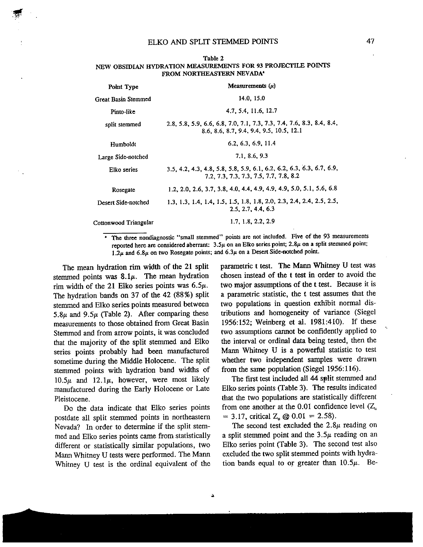| Point Type                 | Measurements $(\mu)$                                                                                              |  |  |  |  |  |  |  |
|----------------------------|-------------------------------------------------------------------------------------------------------------------|--|--|--|--|--|--|--|
| <b>Great Basin Stemmed</b> | 14.0, 15.0                                                                                                        |  |  |  |  |  |  |  |
| Pinto-like                 | 4.7, 5.4, 11.6, 12.7                                                                                              |  |  |  |  |  |  |  |
| split stemmed              | 2.8, 5.8, 5.9, 6.6, 6.8, 7.0, 7.1, 7.3, 7.3, 7.4, 7.6, 8.3, 8.4, 8.4,<br>8.6, 8.6, 8.7, 9.4, 9.4, 9.5, 10.5, 12.1 |  |  |  |  |  |  |  |
| Humboldt                   | 6.2, 6.3, 6.9, 11.4                                                                                               |  |  |  |  |  |  |  |
| Large Side-notched         | 7.1, 8.6, 9.3                                                                                                     |  |  |  |  |  |  |  |
| Elko series                | 3.5, 4.2, 4.3, 4.8, 5.8, 5.8, 5.9, 6.1, 6.2, 6.2, 6.3, 6.3, 6.7, 6.9,<br>7.2, 7.3, 7.3, 7.3, 7.5, 7.7, 7.8, 8.2   |  |  |  |  |  |  |  |
| Rosegate                   | 1.2, 2.0, 2.6, 3.7, 3.8, 4.0, 4.4, 4.9, 4.9, 4.9, 5.0, 5.1, 5.6, 6.8                                              |  |  |  |  |  |  |  |
| Desert Side-notched        | 1.3, 1.3, 1.4, 1.4, 1.5, 1.5, 1.8, 1.8, 2.0, 2.3, 2.4, 2.4, 2.5, 2.5,<br>2.5, 2.7, 4.4, 6.3                       |  |  |  |  |  |  |  |
| Cottonwood Triangular      | 1.7, 1.8, 2.2, 2.9                                                                                                |  |  |  |  |  |  |  |

| Table 2                                                      |  |
|--------------------------------------------------------------|--|
| NEW OBSIDIAN HYDRATION MEASUREMENTS FOR 93 PROJECTILE POINTS |  |
| FROM NORTHEASTERN NEVADA*                                    |  |

The three nondiagnostic "small stemmed" points are not included. Five of the <sup>93</sup> measurements reported here are considered aberrant:  $3.5\mu$  on an Elko series point;  $2.8\mu$  on a split stemmed point; 1.2 $\mu$  and 6.8 $\mu$  on two Rosegate points; and 6.3 $\mu$  on a Desert Side-notched point.

a

The mean hydration rim width of the <sup>21</sup> split stemmed points was  $8.1\mu$ . The mean hydration rim width of the 21 Elko series points was  $6.5\mu$ . The hydration bands on <sup>37</sup> of the <sup>42</sup> (88%) split stemmed and Elko series points measured between 5.8 $\mu$  and 9.5 $\mu$  (Table 2). After comparing these measurements to those obtained from Great Basin Stemmed and from arrow points, it was concluded that the majority of the split stemmed and Elko series points probably had been manufactured sometime during the Middle Holocene. The split stemmed points with hydration band widths of 10.5 $\mu$  and 12.1 $\mu$ , however, were most likely manufactured during the Early Holocene or Late Pleistocene.

Do the data indicate that Elko series points postdate all split stemmed points in northeastern Nevada? In order to determine if the split stem med and Elko series points came from statistically different or statistically similar populations, two Mann Whitney <sup>U</sup> tests were performed. The Mann Whitney <sup>U</sup> test is the ordinal equivalent of the parametric <sup>t</sup> test. The Mann Whitney <sup>U</sup> test was chosen instead of the <sup>t</sup> test in order to avoid the two major assumptions of the <sup>t</sup> test. Because it is <sup>a</sup> parametric statistic, the <sup>t</sup> test assumes that the two populations in question exhibit normal dis tributions and homogeneity of variance (Siegel 1956:152; Weinberg et al. 1981:410). If these two assumptions cannot be confidently applied to the interval or ordinal data being tested, then the Mann Whitney U is <sup>a</sup> powerful statistic to test whether two independent samples were drawn from the same population (Siegel 1956:116).

The first test included all 44 split stemmed and Elko series points (Table 3). The results indicated that the two populations are statistically different from one another at the 0.01 confidence level  $(Z_u)$  $= 3.17$ , critical Z<sub>u</sub> @ 0.01 = 2.58).

The second test excluded the  $2.8\mu$  reading on a split stemmed point and the  $3.5\mu$  reading on an Elko series point (Table 3). The second test also excluded the two split stemmed points with hydra tion bands equal to or greater than  $10.5\mu$ . Be-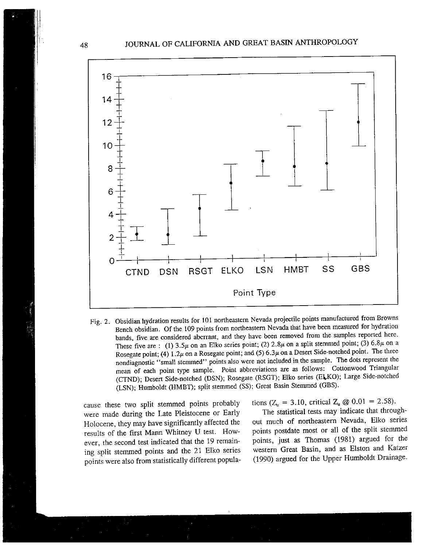

Fig. 2. Obsidian hydration results for <sup>101</sup> northeastern Nevada projectile points manufactured from Browns Bench obsidian. Of the <sup>109</sup> points from northeastern Nevada that have been measured for hydration bands, five are considered aberrant, and they have been removed from the samples reported here. These five are : (1) 3.5 $\mu$  on an Elko series point; (2) 2.8 $\mu$  on a split stemmed point; (3) 6.8 $\mu$  on a Rosegate point; (4) 1.2 $\mu$  on a Rosegate point; and (5) 6.3 $\mu$  on a Desert Side-notched point. The three nondiagnostic "small stemmed" points also were not included in the sample. The dots represen<sup>t</sup> the mean of each point type sample. Point abbreviations are as follows: Cottonwood Triangular (CTND); Desert Side-notched (DSN); Rosegate (RSGT); Elko series (ELKO); Large Side-notched (LSN); Humboldt (HMBT); split stemmed (SS); Great Basin Stemmed (GBS).

cause these two split stemmed points probably were made during the Late Pleistocene or Early Holocene, they may have significantly affected the results of the first Mann Whitney <sup>U</sup> test. How ever, the second test indicated that the <sup>19</sup> remain ing split stemmed points and the <sup>21</sup> Elko series points were also from statistically different popula tions ( $Z_{u} = 3.10$ , critical  $Z_{u} \textcircled{a} 0.01 = 2.58$ ).

The statistical tests may indicate that through out much of northeastern Nevada, Elko series points postdate most or all of the split stemmed points, just as Thomas (1981) argue<sup>d</sup> for the western Great Basin, and as Elston and Katzer (1990) argue<sup>d</sup> for the Upper Humboldt Drainage.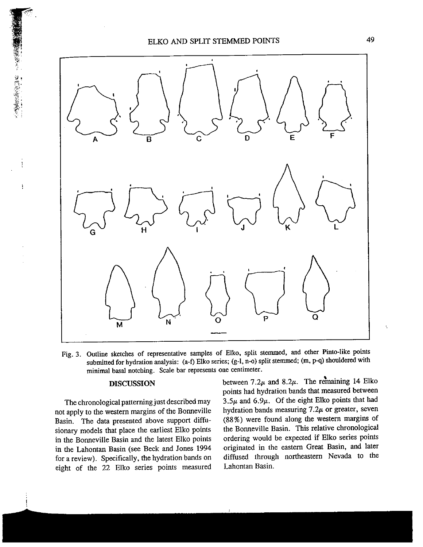



Fig. 3. Outline sketches of representative samples of Elko, split stemmed, and other Pinto-like points submitted for hydration analysis: (a-f) Elko series; (g-l, n-o) split stemmed; (m, p-q) shouldered with minimal basal notching. Scale bar represents one centimeter.

#### DISCUSSION

ĵ.

ŧ

The chronological patterning just described may not apply to the western margins of the Bonneville Basin. The data presented above suppor<sup>t</sup> diffu sionary models that <sup>p</sup>lace the earliest Elko points in the Bonneville Basin and the latest Elko points in the Lahontan Basin (see Beck and Jones 1994 for <sup>a</sup> review). Specifically, the hydration bands on eight of the <sup>22</sup> Elko series points measured between 7.2 $\mu$  and 8.2 $\mu$ . The remaining 14 Elko points had hydration bands that measured between 3.5 $\mu$  and 6.9 $\mu$ . Of the eight Elko points that had hydration bands measuring  $7.2\mu$  or greater, seven (88%) were found along the western margins of the Bonneville Basin. This relative chronological ordering would be expected if Elko series points originated in the eastern Great Basin, and later diffused through northeastern Nevada to the Lahontan Basin.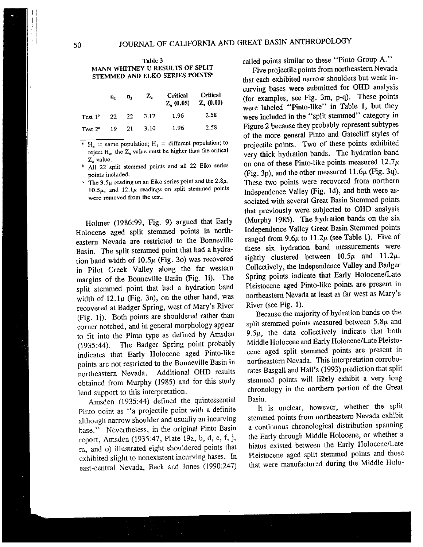### <sup>50</sup> JOURNAL OF CALIFORNIA AND GREAT BASIN ANTHROPOLOGY

#### Table 3 MANN WHITNEY U RESULTS OF SPLIT STEMMED AND ELKO SERIES POINTS

|                                | п, | $\mathbf{n}_2$ | Z.         | Critical Critical | $Z_{n}(0.05)$ $Z_{n}(0.01)$ |
|--------------------------------|----|----------------|------------|-------------------|-----------------------------|
| Test 1 <sup>b</sup> 22 22 3.17 |    |                |            | 1.96              | 2.58                        |
| Test $2c$                      |    |                | 19 21 3.10 | 1.96              | 2.58                        |

- $H_0$  = same population; H<sub>1</sub> = different population; to reject  $H_0$ , the  $Z_u$  value must be higher than the critical Z, value.
- <sup>b</sup> All 22 split stemmed points and all 22 Elko series points included.
- The  $3.5\mu$  reading on an Elko series point and the  $2.8\mu$ , 10.5 $\mu$ , and 12.1 $\mu$  readings on split stemmed points were removed from the test.

Holmer (1986:99, Fig. 9) argue<sup>d</sup> that Early Holocene age<sup>d</sup> split stemmed points in north eastern Nevada are restricted to the Bonneville Basin. The split stemmed point that had <sup>a</sup> hydra tion band width of  $10.5\mu$  (Fig. 3o) was recovered in Pilot Creek Valley along the far western margins of the Bonneville Basin (Fig. Ii). The split stemmed point that had <sup>a</sup> hydration band width of  $12.1\mu$  (Fig. 3n), on the other hand, was recovered at Badger Spring, west of Mary's River (Pig. 1j). Both points are shouldered rather than corner notched, and in genera<sup>l</sup> morphology appear to fit into the Pinto type as defined by Amsden (1935:44). The Badger Spring point probably indicates that Early Holocene age<sup>d</sup> Pinto-like points are not restricted to the Bonneville Basin in northeastern Nevada. Additional ORD results obtained from Murphy (1985) and for this study lend suppor<sup>t</sup> to this interpretation.

Amsden (1935:44) defined the quintessential Pinto point as "a projectile point with <sup>a</sup> definite although narrow shoulder and usually an incurving base." Nevertheless, in the original Pinto Basin report, Amsden (1935:47, Plate 19a, b, d, e, f, j, m, and o) illustrated eight shouldered points that exhibited slight to nonexistent incurving bases. In east-central Nevada, Beck and Jones (1990:247)

called points similar to these "Pinto Group A."

Five projectile points from northeastern Nevada that each exhibited narrow shoulders but weak incurving bases were submitted for OHD analysis (for examples, see Fig. 3m, p-a). These points were labeled "Pinto-like" in Table 1, but they were included in the "split stemmed" category in Figure <sup>2</sup> because they probably represen<sup>t</sup> subtypes of the more genera<sup>l</sup> Pinto and Gatecliff styles of projectile points. Two of these points exhibited very thick hydration bands. The hydration band on one of these Pinto-like points measured  $12.7\mu$ (Fig. 3p), and the other measured  $11.6\mu$  (Fig. 3q). These two points were recovered from northern Independence Valley (Fig. id), and both were as sociated with several Great Basin Stemmed points that previously were subjected to OHD analysis (Murphy 1985). The hydration bands on the six Independence Valley Great Basin Stemmed points ranged from  $9.6\mu$  to  $11.2\mu$  (see Table 1). Five of these six hydration band measurements were tightly clustered between  $10.5\mu$  and  $11.2\mu$ . Collectively, the Independence Valley and Badger Spring points indicate that Early Holocene/Late Pleistocene age<sup>d</sup> Pinto-like points are presen<sup>t</sup> in northeastern Nevada at least as far west as Mary's River (see Fig. 1).

Because the majority of hydration bands on the split stemmed points measured between  $5.8\mu$  and  $9.5\mu$ , the data collectively indicate that both Middle Holocene and Early Holocene/Late Pleisto cene age<sup>d</sup> split stemmed points are presen<sup>t</sup> in northeastern Nevada. This interpretation corrobo rates Basgall and Hall's (1993) prediction that split stemmed points will likely exhibit a very long chronology in the northern portion of the Great Basin.

It is unclear, however, whether the split stemmed points from northeastern Nevada exhibit <sup>a</sup> continuous chronological distribution spanning the Early through Middle Holocene, or whether <sup>a</sup> hiatus existed between the Early Holocene/Late Pleistocene age<sup>d</sup> split stemmed points and those that were manufactured during the Middle Holo-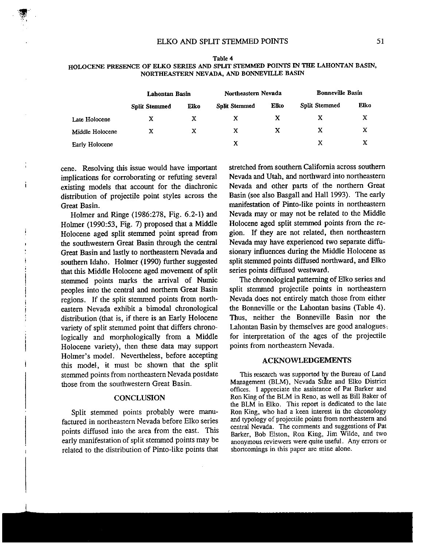|                 | Lahontan Basin       |      | Northeastern Nevada  |      | <b>Bonneville Basin</b> |      |
|-----------------|----------------------|------|----------------------|------|-------------------------|------|
|                 | <b>Split Stemmed</b> | Elko | <b>Split Stemmed</b> | Elko | <b>Split Stemmed</b>    | Elko |
| Late Holocene   | х                    | X    |                      | х    | x                       | х    |
| Middle Holocene | X                    |      | X                    | X    | х                       | X    |
| Early Holocene  |                      |      | x                    |      | x                       | х    |

Table 4 HOLOCENE PRESENCE OF ELKO SERIES AND SPLIT STEMMED POINTS IN TIlE LAHONTAN BASIN, NORTHEASTERN NEVADA, AND BONNEVILLE BASIN

cene. Resolving this issue would have important implications for corroborating or refuting several existing models that account for the diachronic distribution of projectile point styles across the Great Basin.

i.

Holmer and Ringe (1986:278, Fig. 6.2-1) and Holmer (1990:53, Fig. 7) proposed that a Middle Holocene aged split stemmed point spread from the southwestern Great Basin through the central Great Basin and lastly to northeastern Nevada and southern Idaho. Holmer (1990) further suggested that this Middle Holocene aged movement of split stemmed points marks the arrival of Numic peoples into the central and northern Great Basin regions. If the split stemmed points from north eastern Nevada exhibit a bimodal chronological distribution (that is, if there is an Early Holocene variety of split stemmed point that differs chrono logically and morphologically from a Middle Holocene variety), then these data may support Holmer's model. Nevertheless, before accepting this model, it must be shown that the split stemmed points from northeastern Nevada postdate those from the southwestern Great Basin.

#### **CONCLUSION**

Split stemmed points probably were manu factured in northeastern Nevada before Elko series points diffused into the area from the east. This early manifestation of split stemmed points may be related to the distribution of Pinto-like points that

stretched from southern California across southern Nevada and Utah, and northward into northeastern Nevada and other parts of the northern Great Basin (see also Basgall and Hall 1993). The early manifestation of Pinto-like points in northeastern Nevada may or may not be related to the Middle Holocene aged split stemmed points from the re gion. If they are not related, then northeastern Nevada may have experienced two separate diffu sionary influences during the Middle Holocene as split stemmed points diffused northward, and Elko series points diffused westward.

The chronological patterning of Elko series and split stemmed projectile points in northeastern Nevada does not entirely match those from either the Bonneville or the Lahontan basins (Table 4). Thus, neither the Bonneville Basin nor the Lahontan Basin by themselves are good analogues: for interpretation of the ages of the projectile points from northeastern Nevada.

#### ACKNOWLEDGEMENTS

This research was supported by the Bureau of Land Management (BLM), Nevada State and Elko District offices. <sup>I</sup> appreciate the assistance of Pat Barker and Ron King of the BLM in Reno, as well as Bill Baker of the BLM in Elko. This report is dedicated to the late Ron King, who had a keen interest in the chronology and typology of projectile points from northeastern and central Nevada. The comments and suggestions of Pat Barker, Bob Elston, Ron King, Jim Wilde, and two anonymous reviewers were quite useful. Any errors or shortcomings in this paper are mine alone.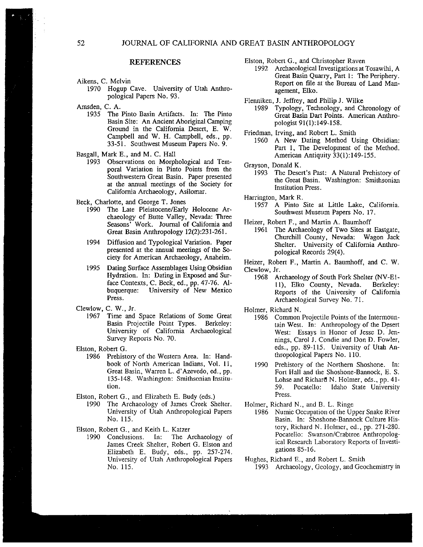#### REFERENCES

- Aikens, C. Melvin
	- 1970 Hogup Cave. University of Utah Anthro pological Papers No. 93.

Amsden, C. A.

- 1935 The Pinto Basin Artifacts. In: The Pinto Basin Site: An Ancient Aboriginal Camping Ground in the California Desert, B. W. Campbell and W. H. Campbell, eds., pp. 33-51. Southwest Museum Papers No. 9.
- Basgall, Mark B., and M. C. Hall
	- 1993 Observations on Morphological and Tem poral Variation in Pinto Points from the Southwestern Great Basin. Paper presented at the annual meetings of the Society for California Archaeology, Asilomar.

Beck, Charlotte, and George T. Jones

- 1990 The Late Pleistocene/Early Holocene Ar chaeology of Butte Valley, Nevada: Three Seasons' Work. Journal of California and Great Basin Anthropology 12(2):231-261.
- 1994 Diffusion and Typological Variation. Paper presented at the annual meetings of the So ciety for American Archaeology, Anaheim.
- 1995 Dating Surface Assemblages Using Obsidian Hydration. In: Dating in Exposed and Sur face Contexts, C. Beck, ed., pp. 47-76. Al-<br>buquerque: University of New Mexico University of New Mexico Press.

Clewlow, C. W., Jr.

1967 Time and Space Relations of Some Great Basin Projectile Point Types. Berkeley: University of California Archaeological Survey Reports No. 70.

Elston, Robert G.

- 1986 Prehistory of the Western Area. In: Hand book of North American Indians, Vol. Il, Great Basin, Warren L. d'Azevedo, ed., pp. 135-148. Washington: Smithsonian Institu tion.
- Elston, Robert G., and Elizabeth E. Rudy (eds.)
	- The Archaeology of James Creek Shelter. University of Utah Anthropological Papers No. 115.

Elston, Robert G., and Keith L. Katzer

1990 Conclusions. In: The Archaeology of James Creek Shelter, Robert G. Elston and Elizabeth E. Budy, eds., pp. 257-274. University of Utah Anthropological Papers No. 115.

Elston, Robert G., and Christopher Raven

1992 Archaeological Investigations at Tosawihi, A Great Basin Quarry, Part 1: The Periphery. Report on file at the Bureau of Land Man agement, Elko.

Flenniken, J. Jeffrey, and Philip J. Wilke

1989 Typology, Technology, and Chronology of Great Basin Dart Points. American Anthro pologist 91(1):149-158.

Friedman, Irving, and Robert L. Smith

1960 A New Dating Method Using Obsidian: Part 1, The Development of the Method. American Antiquity 33(l):149-155.

Grayson, Donald K.

1993 The Desert's Past: A Natural Prehistory of the Great Basin. Washington: Smithsonian Institution Press.

Harrington, Mark R.

1957 A Pinto Site at Little Lake, California. Southwest Museum Papers No. 17.

Heizer, Robert F., and Martin A. Baumhoff

1961 The Archaeology of Two Sites at Eastgate, Churchill County, Nevada: Wagon Jack Shelter. University of California Anthro pological Records 29(4).

Heizer, Robert F., Martin A. Baumhoff, and C. W. Clewlow, Jr.

1968 Archaeology of South Fork Shelter (NV-El 11), Elko County, Nevada. Berkeley: Reports of the University of California Archaeological Survey No. 71.

Holmer, Richard N.

- 1986 Common Projectile Points of the Intermoun tain West. In: Anthropology of the Desert West: Essays in Honor of Jesse D. Jen nings, Carol J. Condie and Don D. Fowler, eds., pp. 89-115. University of Utah An thropological Papers No. 110.
- 1990 Prehistory of the Northern Shoshone. In: Fort Hall and the Shoshone-Bannock, E. S. Lohse and Richard N. Holmer, eds., pp. 41-59. Pocatello: Idaho State University Press.

Holmer, Richard N., and B. L. Ringe

1986 Numic Occupation of the Upper Snake River Basin. In: Shoshone-Bannock Culture His tory, Richard N. Holmer, ed., pp. 271-280. Pocatello: Swanson/Crabtree Anthropolog ical Research Laboratory Reports of Investi gations 85-16.

Hughes, Richard E., and Robert L. Smith

1993 Archaeology, Geology, and Geochemistry in